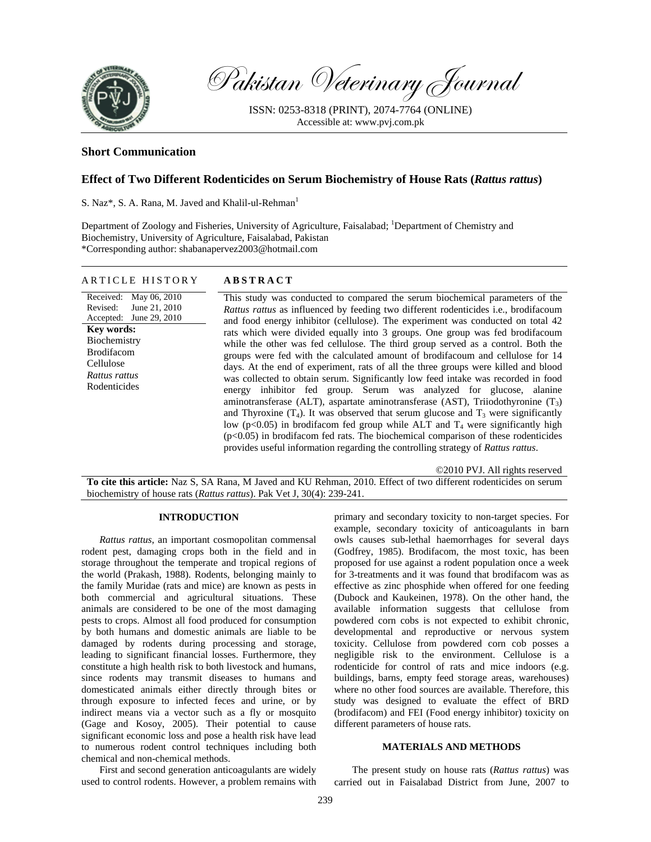

Pakistan Veterinary Journal

ISSN: 0253-8318 (PRINT), 2074-7764 (ONLINE) Accessible at: www.pvj.com.pk

# **Short Communication**

# **Effect of Two Different Rodenticides on Serum Biochemistry of House Rats (***Rattus rattus***)**

S. Naz<sup>\*</sup>, S. A. Rana, M. Javed and Khalil-ul-Rehman<sup>1</sup>

ARTICLE HISTORY **ABSTRACT** 

Department of Zoology and Fisheries, University of Agriculture, Faisalabad; <sup>1</sup>Department of Chemistry and Biochemistry, University of Agriculture, Faisalabad, Pakistan \*Corresponding author: shabanapervez2003@hotmail.com

| ARTICLE HISTORY<br>Received: May 06, 2010<br>June 21, 2010<br>Revised:<br>Accepted: June 29, 2010<br>Key words:<br>Biochemistry<br><b>Brodifacom</b><br>Cellulose<br>Rattus rattus<br>Rodenticides | ABSIKACI<br>This study was conducted to compared the serum biochemical parameters of the<br><i>Rattus rattus</i> as influenced by feeding two different rodenticides <i>i.e.</i> , brodifacoum<br>and food energy inhibitor (cellulose). The experiment was conducted on total 42<br>rats which were divided equally into 3 groups. One group was fed brodifacoum<br>while the other was fed cellulose. The third group served as a control. Both the<br>groups were fed with the calculated amount of brodifacoum and cellulose for 14<br>days. At the end of experiment, rats of all the three groups were killed and blood<br>was collected to obtain serum. Significantly low feed intake was recorded in food |
|----------------------------------------------------------------------------------------------------------------------------------------------------------------------------------------------------|--------------------------------------------------------------------------------------------------------------------------------------------------------------------------------------------------------------------------------------------------------------------------------------------------------------------------------------------------------------------------------------------------------------------------------------------------------------------------------------------------------------------------------------------------------------------------------------------------------------------------------------------------------------------------------------------------------------------|
|                                                                                                                                                                                                    | energy inhibitor fed group. Serum was analyzed for glucose, alanine<br>aminotransferase (ALT), aspartate aminotransferase (AST), Triiodothyronine $(T_3)$<br>and Thyroxine $(T_4)$ . It was observed that serum glucose and $T_3$ were significantly<br>low ( $p<0.05$ ) in brodifacom fed group while ALT and T <sub>4</sub> were significantly high<br>$(p<0.05)$ in brodifacom fed rats. The biochemical comparison of these rodenticides<br>provides useful information regarding the controlling strategy of Rattus rattus.                                                                                                                                                                                   |

©2010 PVJ. All rights reserved

**To cite this article:** Naz S, SA Rana, M Javed and KU Rehman, 2010. Effect of two different rodenticides on serum biochemistry of house rats (*Rattus rattus*). Pak Vet J, 30(4): 239-241.

## **INTRODUCTION**

*Rattus rattus*, an important cosmopolitan commensal rodent pest, damaging crops both in the field and in storage throughout the temperate and tropical regions of the world (Prakash, 1988). Rodents, belonging mainly to the family Muridae (rats and mice) are known as pests in both commercial and agricultural situations. These animals are considered to be one of the most damaging pests to crops. Almost all food produced for consumption by both humans and domestic animals are liable to be damaged by rodents during processing and storage, leading to significant financial losses. Furthermore, they constitute a high health risk to both livestock and humans, since rodents may transmit diseases to humans and domesticated animals either directly through bites or through exposure to infected feces and urine, or by indirect means via a vector such as a fly or mosquito (Gage and Kosoy, 2005). Their potential to cause significant economic loss and pose a health risk have lead to numerous rodent control techniques including both chemical and non-chemical methods.

First and second generation anticoagulants are widely used to control rodents. However, a problem remains with primary and secondary toxicity to non-target species. For example, secondary toxicity of anticoagulants in barn owls causes sub-lethal haemorrhages for several days (Godfrey, 1985). Brodifacom, the most toxic, has been proposed for use against a rodent population once a week for 3-treatments and it was found that brodifacom was as effective as zinc phosphide when offered for one feeding (Dubock and Kaukeinen, 1978). On the other hand, the available information suggests that cellulose from powdered corn cobs is not expected to exhibit chronic, developmental and reproductive or nervous system toxicity. Cellulose from powdered corn cob posses a negligible risk to the environment. Cellulose is a rodenticide for control of rats and mice indoors (e.g. buildings, barns, empty feed storage areas, warehouses) where no other food sources are available. Therefore, this study was designed to evaluate the effect of BRD (brodifacom) and FEI (Food energy inhibitor) toxicity on different parameters of house rats.

### **MATERIALS AND METHODS**

The present study on house rats (*Rattus rattus*) was carried out in Faisalabad District from June, 2007 to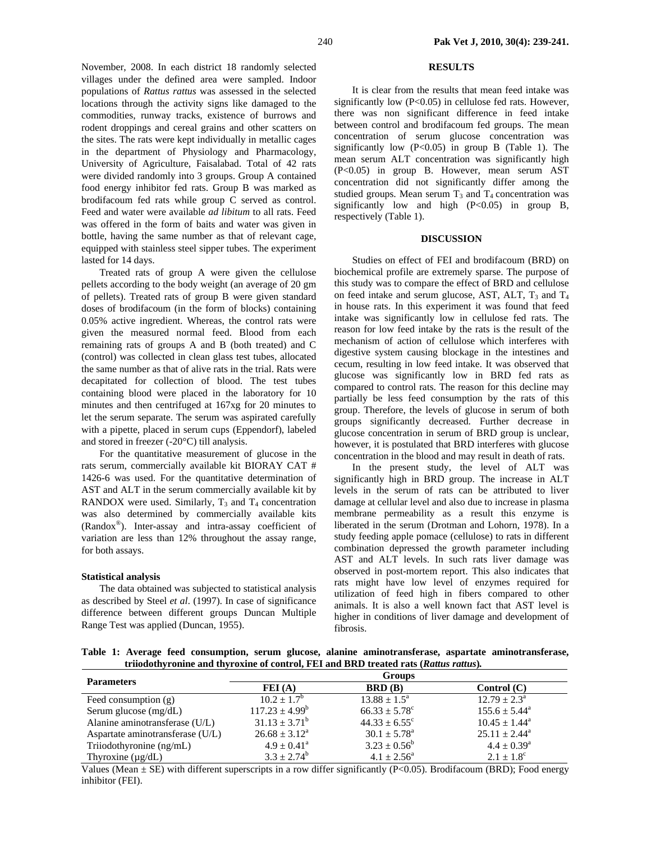November, 2008. In each district 18 randomly selected villages under the defined area were sampled. Indoor populations of *Rattus rattus* was assessed in the selected locations through the activity signs like damaged to the commodities, runway tracks, existence of burrows and rodent droppings and cereal grains and other scatters on the sites. The rats were kept individually in metallic cages in the department of Physiology and Pharmacology, University of Agriculture, Faisalabad. Total of 42 rats were divided randomly into 3 groups. Group A contained food energy inhibitor fed rats. Group B was marked as brodifacoum fed rats while group C served as control. Feed and water were available *ad libitum* to all rats. Feed was offered in the form of baits and water was given in bottle, having the same number as that of relevant cage, equipped with stainless steel sipper tubes. The experiment lasted for 14 days.

Treated rats of group A were given the cellulose pellets according to the body weight (an average of 20 gm of pellets). Treated rats of group B were given standard doses of brodifacoum (in the form of blocks) containing 0.05% active ingredient. Whereas, the control rats were given the measured normal feed. Blood from each remaining rats of groups A and B (both treated) and C (control) was collected in clean glass test tubes, allocated the same number as that of alive rats in the trial. Rats were decapitated for collection of blood. The test tubes containing blood were placed in the laboratory for 10 minutes and then centrifuged at 167xg for 20 minutes to let the serum separate. The serum was aspirated carefully with a pipette, placed in serum cups (Eppendorf), labeled and stored in freezer (-20°C) till analysis.

For the quantitative measurement of glucose in the rats serum, commercially available kit BIORAY CAT # 1426-6 was used. For the quantitative determination of AST and ALT in the serum commercially available kit by RANDOX were used. Similarly,  $T_3$  and  $T_4$  concentration was also determined by commercially available kits (Randox®). Inter-assay and intra-assay coefficient of variation are less than 12% throughout the assay range, for both assays.

### **Statistical analysis**

The data obtained was subjected to statistical analysis as described by Steel *et al*. (1997). In case of significance difference between different groups Duncan Multiple Range Test was applied (Duncan, 1955).

## **RESULTS**

It is clear from the results that mean feed intake was significantly low (P<0.05) in cellulose fed rats. However, there was non significant difference in feed intake between control and brodifacoum fed groups. The mean concentration of serum glucose concentration was significantly low  $(P<0.05)$  in group B (Table 1). The mean serum ALT concentration was significantly high (P<0.05) in group B. However, mean serum AST concentration did not significantly differ among the studied groups. Mean serum  $T_3$  and  $T_4$  concentration was significantly low and high  $(P<0.05)$  in group B, respectively (Table 1).

### **DISCUSSION**

Studies on effect of FEI and brodifacoum (BRD) on biochemical profile are extremely sparse. The purpose of this study was to compare the effect of BRD and cellulose on feed intake and serum glucose, AST, ALT,  $T_3$  and  $T_4$ in house rats. In this experiment it was found that feed intake was significantly low in cellulose fed rats. The reason for low feed intake by the rats is the result of the mechanism of action of cellulose which interferes with digestive system causing blockage in the intestines and cecum, resulting in low feed intake. It was observed that glucose was significantly low in BRD fed rats as compared to control rats. The reason for this decline may partially be less feed consumption by the rats of this group. Therefore, the levels of glucose in serum of both groups significantly decreased. Further decrease in glucose concentration in serum of BRD group is unclear, however, it is postulated that BRD interferes with glucose concentration in the blood and may result in death of rats.

In the present study, the level of ALT was significantly high in BRD group. The increase in ALT levels in the serum of rats can be attributed to liver damage at cellular level and also due to increase in plasma membrane permeability as a result this enzyme is liberated in the serum (Drotman and Lohorn, 1978). In a study feeding apple pomace (cellulose) to rats in different combination depressed the growth parameter including AST and ALT levels. In such rats liver damage was observed in post-mortem report. This also indicates that rats might have low level of enzymes required for utilization of feed high in fibers compared to other animals. It is also a well known fact that AST level is higher in conditions of liver damage and development of fibrosis.

**Table 1: Average feed consumption, serum glucose, alanine aminotransferase, aspartate aminotransferase, triiodothyronine and thyroxine of control, FEI and BRD treated rats (***Rattus rattus***)***.* 

| <b>Parameters</b>                | <b>Groups</b>               |                            |                          |  |
|----------------------------------|-----------------------------|----------------------------|--------------------------|--|
|                                  | FEI(A)                      | $\mathbf{BRD}(\mathbf{B})$ | Control (C)              |  |
| Feed consumption $(g)$           | $10.2 \pm 1.7^{\rm b}$      | $13.88 \pm 1.5^{\circ}$    | $12.79 \pm 2.3^{\circ}$  |  |
| Serum glucose $(mg/dL)$          | $117.23 + 4.99^b$           | $66.33 \pm 5.78$ °         | $155.6 \pm 5.44^{\circ}$ |  |
| Alanine aminotransferase (U/L)   | $31.13 \pm 3.71^b$          | $44.33 \pm 6.55$ °         | $10.45 \pm 1.44^{\circ}$ |  |
| Aspartate aminotransferase (U/L) | $26.68 \pm 3.12^{\text{a}}$ | $30.1 + 5.78^{\circ}$      | $25.11 \pm 2.44^{\circ}$ |  |
| Triiodothyronine (ng/mL)         | $4.9 \pm 0.41^{\circ}$      | $3.23 \pm 0.56^b$          | $4.4 \pm 0.39^{\circ}$   |  |
| Thyroxine $(\mu g/dL)$           | $3.3 \pm 2.74^b$            | $4.1 \pm 2.56^{\circ}$     | $2.1 \pm 1.8^{\circ}$    |  |

Values (Mean  $\pm$  SE) with different superscripts in a row differ significantly (P<0.05). Brodifacoum (BRD); Food energy inhibitor (FEI).